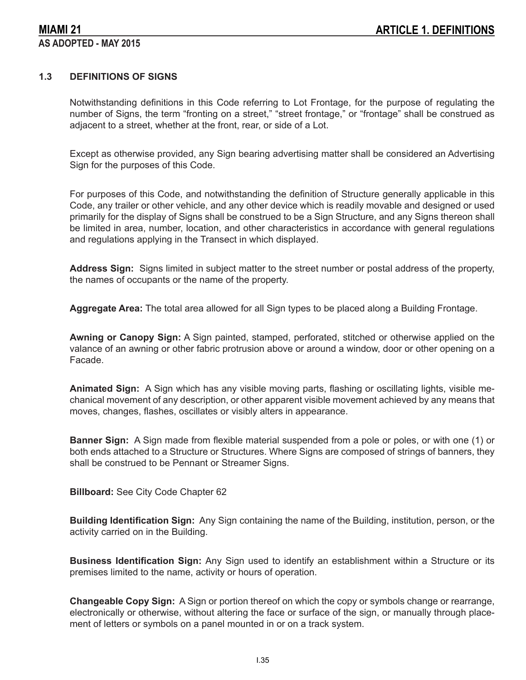## **1.3 DEFINITIONS OF SIGNS**

Notwithstanding definitions in this Code referring to Lot Frontage, for the purpose of regulating the number of Signs, the term "fronting on a street," "street frontage," or "frontage" shall be construed as adjacent to a street, whether at the front, rear, or side of a Lot.

Except as otherwise provided, any Sign bearing advertising matter shall be considered an Advertising Sign for the purposes of this Code.

For purposes of this Code, and notwithstanding the definition of Structure generally applicable in this Code, any trailer or other vehicle, and any other device which is readily movable and designed or used primarily for the display of Signs shall be construed to be a Sign Structure, and any Signs thereon shall be limited in area, number, location, and other characteristics in accordance with general regulations and regulations applying in the Transect in which displayed.

**Address Sign:** Signs limited in subject matter to the street number or postal address of the property, the names of occupants or the name of the property.

**Aggregate Area:** The total area allowed for all Sign types to be placed along a Building Frontage.

**Awning or Canopy Sign:** A Sign painted, stamped, perforated, stitched or otherwise applied on the valance of an awning or other fabric protrusion above or around a window, door or other opening on a Facade.

**Animated Sign:** A Sign which has any visible moving parts, flashing or oscillating lights, visible mechanical movement of any description, or other apparent visible movement achieved by any means that moves, changes, flashes, oscillates or visibly alters in appearance.

**Banner Sign:** A Sign made from flexible material suspended from a pole or poles, or with one (1) or both ends attached to a Structure or Structures. Where Signs are composed of strings of banners, they shall be construed to be Pennant or Streamer Signs.

**Billboard:** See City Code Chapter 62

**Building Identification Sign:** Any Sign containing the name of the Building, institution, person, or the activity carried on in the Building.

**Business Identification Sign:** Any Sign used to identify an establishment within a Structure or its premises limited to the name, activity or hours of operation.

**Changeable Copy Sign:** A Sign or portion thereof on which the copy or symbols change or rearrange, electronically or otherwise, without altering the face or surface of the sign, or manually through placement of letters or symbols on a panel mounted in or on a track system.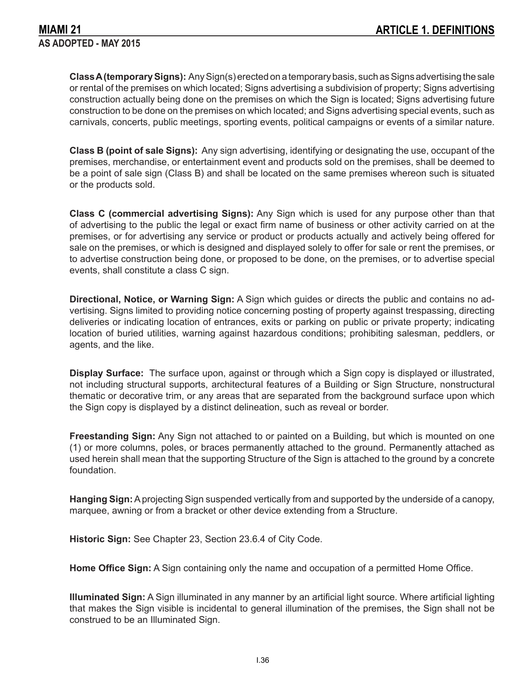**Class A (temporary Signs):** Any Sign(s) erected on a temporary basis, such as Signs advertising the sale or rental of the premises on which located; Signs advertising a subdivision of property; Signs advertising construction actually being done on the premises on which the Sign is located; Signs advertising future construction to be done on the premises on which located; and Signs advertising special events, such as carnivals, concerts, public meetings, sporting events, political campaigns or events of a similar nature.

**Class B (point of sale Signs):** Any sign advertising, identifying or designating the use, occupant of the premises, merchandise, or entertainment event and products sold on the premises, shall be deemed to be a point of sale sign (Class B) and shall be located on the same premises whereon such is situated or the products sold.

**Class C (commercial advertising Signs):** Any Sign which is used for any purpose other than that of advertising to the public the legal or exact firm name of business or other activity carried on at the premises, or for advertising any service or product or products actually and actively being offered for sale on the premises, or which is designed and displayed solely to offer for sale or rent the premises, or to advertise construction being done, or proposed to be done, on the premises, or to advertise special events, shall constitute a class C sign.

**Directional, Notice, or Warning Sign:** A Sign which guides or directs the public and contains no advertising. Signs limited to providing notice concerning posting of property against trespassing, directing deliveries or indicating location of entrances, exits or parking on public or private property; indicating location of buried utilities, warning against hazardous conditions; prohibiting salesman, peddlers, or agents, and the like.

**Display Surface:** The surface upon, against or through which a Sign copy is displayed or illustrated, not including structural supports, architectural features of a Building or Sign Structure, nonstructural thematic or decorative trim, or any areas that are separated from the background surface upon which the Sign copy is displayed by a distinct delineation, such as reveal or border.

**Freestanding Sign:** Any Sign not attached to or painted on a Building, but which is mounted on one (1) or more columns, poles, or braces permanently attached to the ground. Permanently attached as used herein shall mean that the supporting Structure of the Sign is attached to the ground by a concrete foundation.

**Hanging Sign:** A projecting Sign suspended vertically from and supported by the underside of a canopy, marquee, awning or from a bracket or other device extending from a Structure.

**Historic Sign:** See Chapter 23, Section 23.6.4 of City Code.

**Home Office Sign:** A Sign containing only the name and occupation of a permitted Home Office.

**Illuminated Sign:** A Sign illuminated in any manner by an artificial light source. Where artificial lighting that makes the Sign visible is incidental to general illumination of the premises, the Sign shall not be construed to be an Illuminated Sign.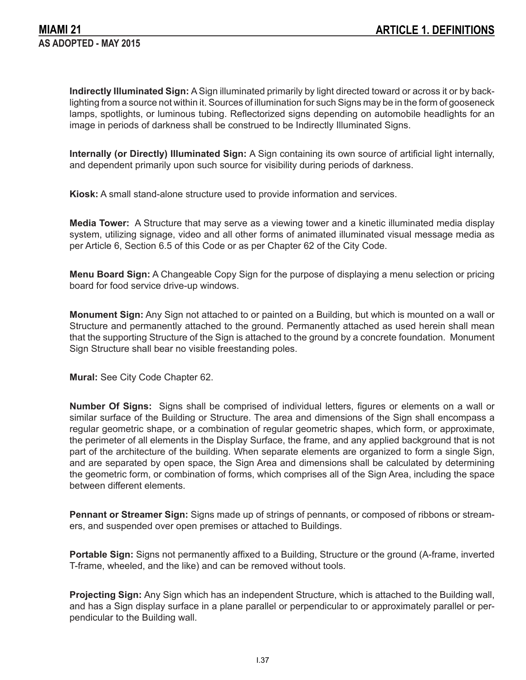**Indirectly Illuminated Sign:** A Sign illuminated primarily by light directed toward or across it or by backlighting from a source not within it. Sources of illumination for such Signs may be in the form of gooseneck lamps, spotlights, or luminous tubing. Reflectorized signs depending on automobile headlights for an image in periods of darkness shall be construed to be Indirectly Illuminated Signs.

**Internally (or Directly) Illuminated Sign:** A Sign containing its own source of artificial light internally, and dependent primarily upon such source for visibility during periods of darkness.

**Kiosk:** A small stand-alone structure used to provide information and services.

**Media Tower:** A Structure that may serve as a viewing tower and a kinetic illuminated media display system, utilizing signage, video and all other forms of animated illuminated visual message media as per Article 6, Section 6.5 of this Code or as per Chapter 62 of the City Code.

**Menu Board Sign:** A Changeable Copy Sign for the purpose of displaying a menu selection or pricing board for food service drive-up windows.

**Monument Sign:** Any Sign not attached to or painted on a Building, but which is mounted on a wall or Structure and permanently attached to the ground. Permanently attached as used herein shall mean that the supporting Structure of the Sign is attached to the ground by a concrete foundation. Monument Sign Structure shall bear no visible freestanding poles.

**Mural:** See City Code Chapter 62.

**Number Of Signs:** Signs shall be comprised of individual letters, figures or elements on a wall or similar surface of the Building or Structure. The area and dimensions of the Sign shall encompass a regular geometric shape, or a combination of regular geometric shapes, which form, or approximate, the perimeter of all elements in the Display Surface, the frame, and any applied background that is not part of the architecture of the building. When separate elements are organized to form a single Sign, and are separated by open space, the Sign Area and dimensions shall be calculated by determining the geometric form, or combination of forms, which comprises all of the Sign Area, including the space between different elements.

**Pennant or Streamer Sign:** Signs made up of strings of pennants, or composed of ribbons or streamers, and suspended over open premises or attached to Buildings.

**Portable Sign:** Signs not permanently affixed to a Building, Structure or the ground (A-frame, inverted T-frame, wheeled, and the like) and can be removed without tools.

**Projecting Sign:** Any Sign which has an independent Structure, which is attached to the Building wall, and has a Sign display surface in a plane parallel or perpendicular to or approximately parallel or perpendicular to the Building wall.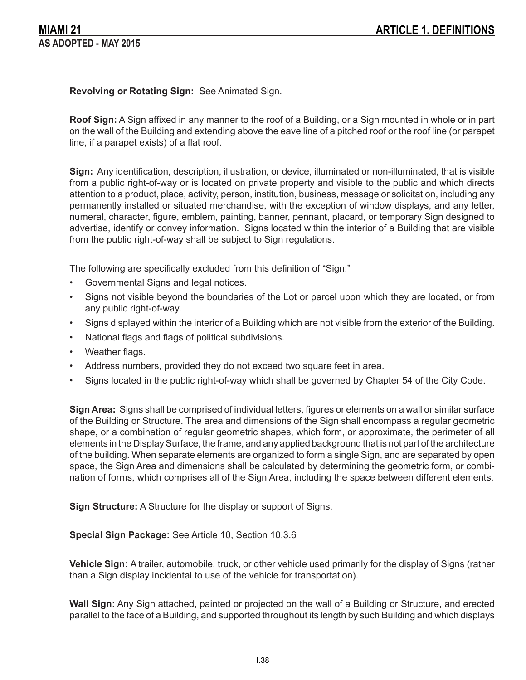**Revolving or Rotating Sign:** See Animated Sign.

**Roof Sign:** A Sign affixed in any manner to the roof of a Building, or a Sign mounted in whole or in part on the wall of the Building and extending above the eave line of a pitched roof or the roof line (or parapet line, if a parapet exists) of a flat roof.

**Sign:** Any identification, description, illustration, or device, illuminated or non-illuminated, that is visible from a public right-of-way or is located on private property and visible to the public and which directs attention to a product, place, activity, person, institution, business, message or solicitation, including any permanently installed or situated merchandise, with the exception of window displays, and any letter, numeral, character, figure, emblem, painting, banner, pennant, placard, or temporary Sign designed to advertise, identify or convey information. Signs located within the interior of a Building that are visible from the public right-of-way shall be subject to Sign regulations.

The following are specifically excluded from this definition of "Sign:"

- Governmental Signs and legal notices.
- Signs not visible beyond the boundaries of the Lot or parcel upon which they are located, or from any public right-of-way.
- Signs displayed within the interior of a Building which are not visible from the exterior of the Building.
- National flags and flags of political subdivisions.
- Weather flags.
- Address numbers, provided they do not exceed two square feet in area.
- Signs located in the public right-of-way which shall be governed by Chapter 54 of the City Code.

**Sign Area:** Signs shall be comprised of individual letters, figures or elements on a wall or similar surface of the Building or Structure. The area and dimensions of the Sign shall encompass a regular geometric shape, or a combination of regular geometric shapes, which form, or approximate, the perimeter of all elements in the Display Surface, the frame, and any applied background that is not part of the architecture of the building. When separate elements are organized to form a single Sign, and are separated by open space, the Sign Area and dimensions shall be calculated by determining the geometric form, or combination of forms, which comprises all of the Sign Area, including the space between different elements.

**Sign Structure:** A Structure for the display or support of Signs.

**Special Sign Package:** See Article 10, Section 10.3.6

**Vehicle Sign:** A trailer, automobile, truck, or other vehicle used primarily for the display of Signs (rather than a Sign display incidental to use of the vehicle for transportation).

**Wall Sign:** Any Sign attached, painted or projected on the wall of a Building or Structure, and erected parallel to the face of a Building, and supported throughout its length by such Building and which displays